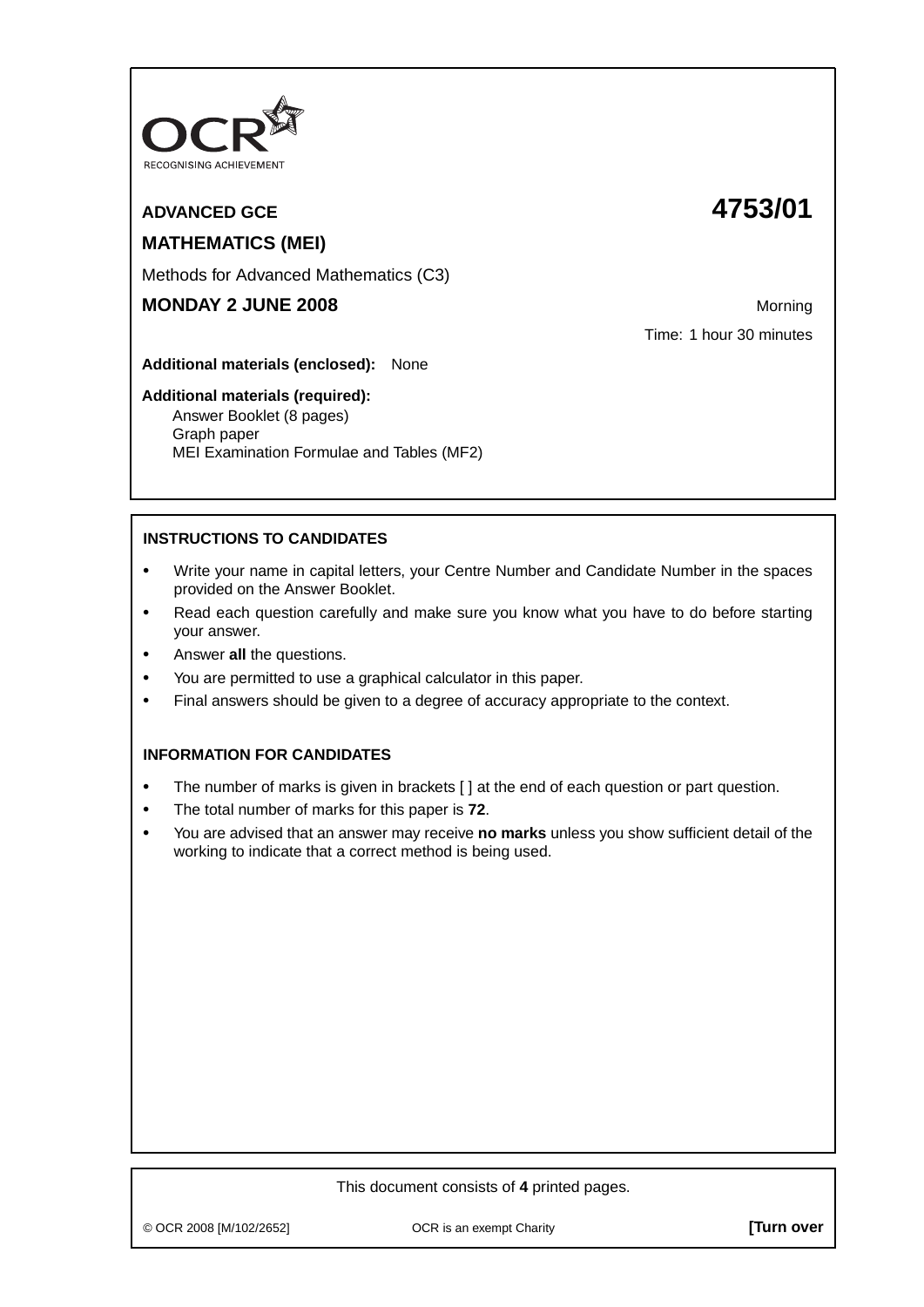

# **ADVANCED GCE 4753/01**

# **MATHEMATICS (MEI)**

Methods for Advanced Mathematics (C3)

# **MONDAY 2 JUNE 2008** Morning

Time: 1 hour 30 minutes

**Additional materials (enclosed):** None

#### **Additional materials (required):**

Answer Booklet (8 pages) Graph paper MEI Examination Formulae and Tables (MF2)

## **INSTRUCTIONS TO CANDIDATES**

- **•** Write your name in capital letters, your Centre Number and Candidate Number in the spaces provided on the Answer Booklet.
- **•** Read each question carefully and make sure you know what you have to do before starting your answer.
- **•** Answer **all** the questions.
- **•** You are permitted to use a graphical calculator in this paper.
- **•** Final answers should be given to a degree of accuracy appropriate to the context.

## **INFORMATION FOR CANDIDATES**

- The number of marks is given in brackets [ ] at the end of each question or part question.
- **•** The total number of marks for this paper is **72**.
- **•** You are advised that an answer may receive **no marks** unless you show sufficient detail of the working to indicate that a correct method is being used.

#### This document consists of **4** printed pages.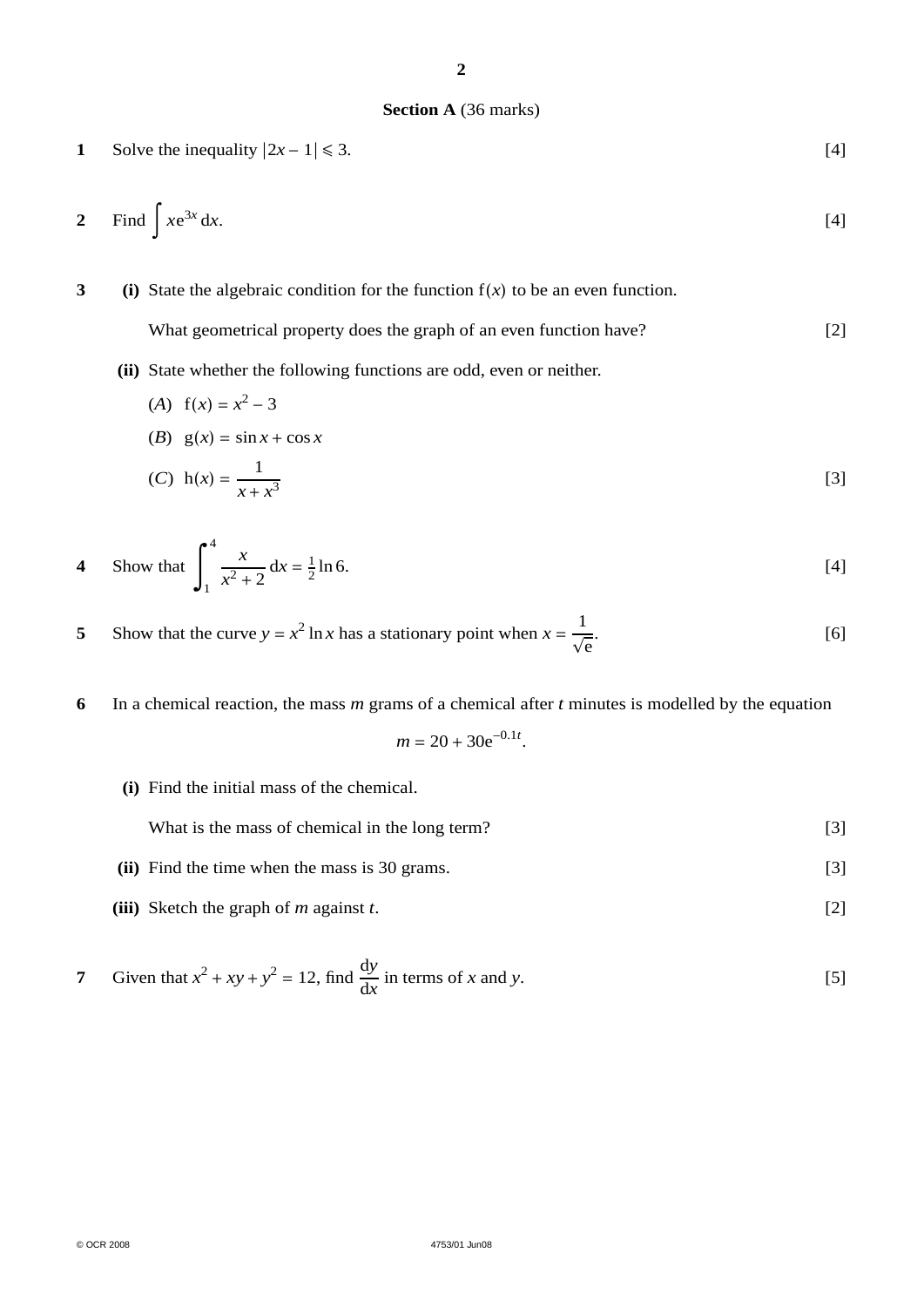#### **Section A** (36 marks)

1 Solve the inequality 
$$
|2x - 1| \le 3
$$
. [4]

$$
2 \quad \text{Find } \int x e^{3x} dx. \tag{4}
$$

**3 (i)** State the algebraic condition for the function f(*x*) to be an even function.

What geometrical property does the graph of an even function have? [2]

**(ii)** State whether the following functions are odd, even or neither.

(A) 
$$
f(x) = x^2 - 3
$$
  
\n(B)  $g(x) = \sin x + \cos x$   
\n(C)  $h(x) = \frac{1}{x + x^3}$  [3]

4 Show that 
$$
\int_{1}^{4} \frac{x}{x^2 + 2} dx = \frac{1}{2} \ln 6.
$$
 [4]

**5** Show that the curve  $y = x^2 \ln x$  has a stationary point when  $x = \frac{1}{\sqrt{e}}$ .  $[6]$ 

**6** In a chemical reaction, the mass *m* grams of a chemical after *t* minutes is modelled by the equation

$$
m = 20 + 30e^{-0.1t}.
$$

**(i)** Find the initial mass of the chemical.

| What is the mass of chemical in the long term? |
|------------------------------------------------|
|                                                |

- **(ii)** Find the time when the mass is 30 grams. [3]
- **(iii)** Sketch the graph of *m* against *t*. [2]

7 Given that 
$$
x^2 + xy + y^2 = 12
$$
, find  $\frac{dy}{dx}$  in terms of x and y. [5]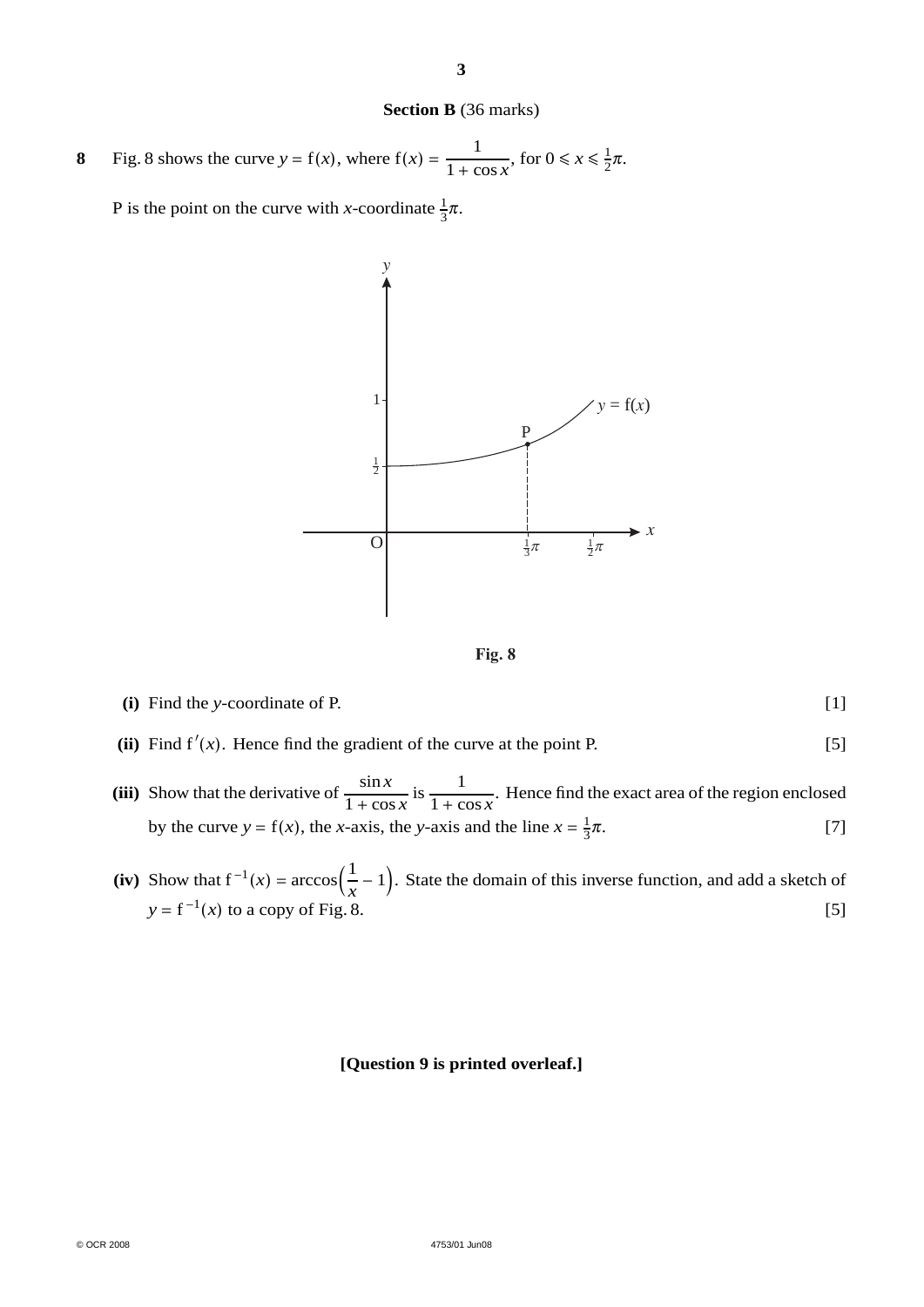#### **Section B** (36 marks)

**8** Fig. 8 shows the curve  $y = f(x)$ , where  $f(x) = \frac{1}{1 + \cos x}$ , for  $0 \le x \le \frac{1}{2}\pi$ .

P is the point on the curve with *x*-coordinate  $\frac{1}{3}\pi$ .





## **(i)** Find the *y*-coordinate of P. [1]

- (ii) Find  $f'(x)$ . Hence find the gradient of the curve at the point P. [5]
- **(iii)** Show that the derivative of  $\frac{\sin x}{1+\cos x}$  $1 + \cos x$ is  $\frac{1}{1}$  $\frac{1}{1 + \cos x}$ . Hence find the exact area of the region enclosed by the curve  $y = f(x)$ , the *x*-axis, the *y*-axis and the line  $x = \frac{1}{3}$  $\pi$ . [7]
- (iv) Show that  $f^{-1}(x) = \arccos(\frac{1}{x} 1)$ . State the domain of this inverse function, and add a sketch of  $y = f^{-1}(x)$  to a copy of Fig. 8. [5]

#### **[Question 9 is printed overleaf.]**